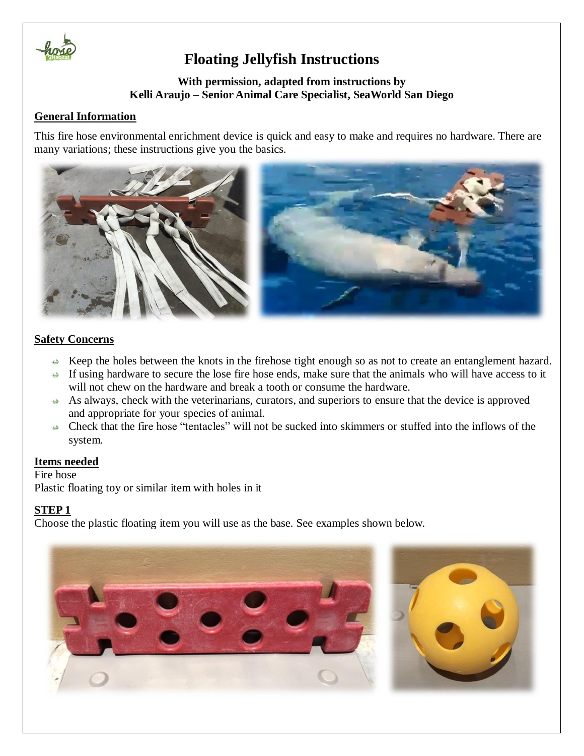

## **Floating Jellyfish Instructions**

#### **With permission, adapted from instructions by Kelli Araujo – Senior Animal Care Specialist, SeaWorld San Diego**

### **General Information**

This fire hose environmental enrichment device is quick and easy to make and requires no hardware. There are many variations; these instructions give you the basics.



#### **Safety Concerns**

- Keep the holes between the knots in the firehose tight enough so as not to create an entanglement hazard.
- If using hardware to secure the lose fire hose ends, make sure that the animals who will have access to it will not chew on the hardware and break a tooth or consume the hardware.
- As always, check with the veterinarians, curators, and superiors to ensure that the device is approved and appropriate for your species of animal.
- Check that the fire hose "tentacles" will not be sucked into skimmers or stuffed into the inflows of the system.

#### **Items needed**

Fire hose Plastic floating toy or similar item with holes in it

#### **STEP 1**

Choose the plastic floating item you will use as the base. See examples shown below.

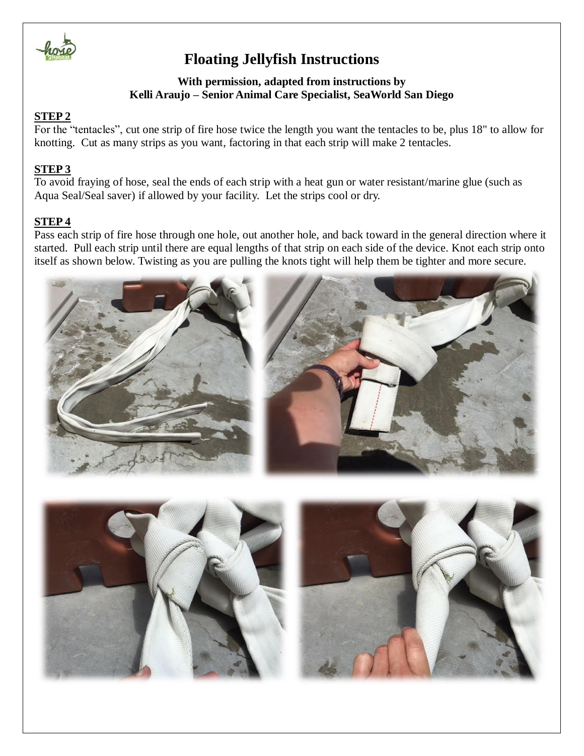

### **Floating Jellyfish Instructions**

### **With permission, adapted from instructions by Kelli Araujo – Senior Animal Care Specialist, SeaWorld San Diego**

### **STEP 2**

For the "tentacles", cut one strip of fire hose twice the length you want the tentacles to be, plus 18" to allow for knotting. Cut as many strips as you want, factoring in that each strip will make 2 tentacles.

#### **STEP 3**

To avoid fraying of hose, seal the ends of each strip with a heat gun or water resistant/marine glue (such as Aqua Seal/Seal saver) if allowed by your facility. Let the strips cool or dry.

#### **STEP 4**

Pass each strip of fire hose through one hole, out another hole, and back toward in the general direction where it started. Pull each strip until there are equal lengths of that strip on each side of the device. Knot each strip onto itself as shown below. Twisting as you are pulling the knots tight will help them be tighter and more secure.